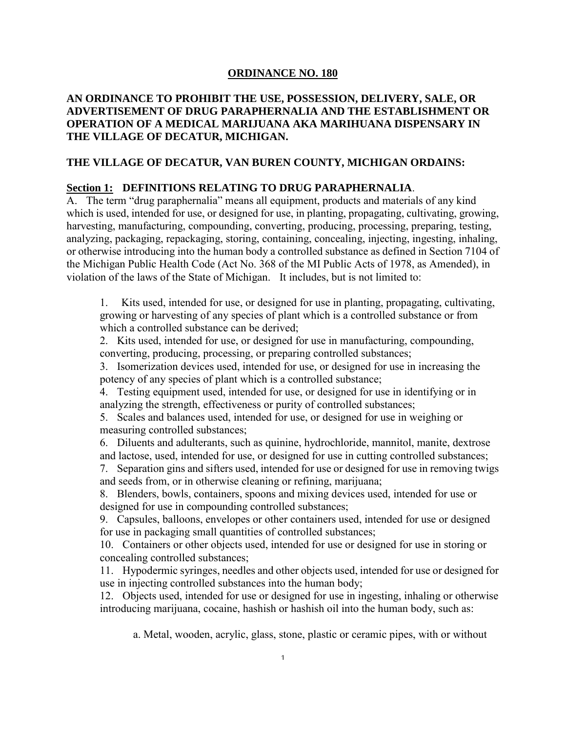## **ORDINANCE NO. 180**

# **AN ORDINANCE TO PROHIBIT THE USE, POSSESSION, DELIVERY, SALE, OR ADVERTISEMENT OF DRUG PARAPHERNALIA AND THE ESTABLISHMENT OR OPERATION OF A MEDICAL MARIJUANA AKA MARIHUANA DISPENSARY IN THE VILLAGE OF DECATUR, MICHIGAN.**

## **THE VILLAGE OF DECATUR, VAN BUREN COUNTY, MICHIGAN ORDAINS:**

### **Section 1: DEFINITIONS RELATING TO DRUG PARAPHERNALIA**.

A. The term "drug paraphernalia" means all equipment, products and materials of any kind which is used, intended for use, or designed for use, in planting, propagating, cultivating, growing, harvesting, manufacturing, compounding, converting, producing, processing, preparing, testing, analyzing, packaging, repackaging, storing, containing, concealing, injecting, ingesting, inhaling, or otherwise introducing into the human body a controlled substance as defined in Section 7104 of the Michigan Public Health Code (Act No. 368 of the MI Public Acts of 1978, as Amended), in violation of the laws of the State of Michigan. It includes, but is not limited to:

1. Kits used, intended for use, or designed for use in planting, propagating, cultivating, growing or harvesting of any species of plant which is a controlled substance or from which a controlled substance can be derived;

2. Kits used, intended for use, or designed for use in manufacturing, compounding, converting, producing, processing, or preparing controlled substances;

3. Isomerization devices used, intended for use, or designed for use in increasing the potency of any species of plant which is a controlled substance;

4. Testing equipment used, intended for use, or designed for use in identifying or in analyzing the strength, effectiveness or purity of controlled substances;

5. Scales and balances used, intended for use, or designed for use in weighing or measuring controlled substances;

6. Diluents and adulterants, such as quinine, hydrochloride, mannitol, manite, dextrose and lactose, used, intended for use, or designed for use in cutting controlled substances;

7. Separation gins and sifters used, intended for use or designed for use in removing twigs and seeds from, or in otherwise cleaning or refining, marijuana;

8. Blenders, bowls, containers, spoons and mixing devices used, intended for use or designed for use in compounding controlled substances;

9. Capsules, balloons, envelopes or other containers used, intended for use or designed for use in packaging small quantities of controlled substances;

10. Containers or other objects used, intended for use or designed for use in storing or concealing controlled substances;

11. Hypodermic syringes, needles and other objects used, intended for use or designed for use in injecting controlled substances into the human body;

12. Objects used, intended for use or designed for use in ingesting, inhaling or otherwise introducing marijuana, cocaine, hashish or hashish oil into the human body, such as:

a. Metal, wooden, acrylic, glass, stone, plastic or ceramic pipes, with or without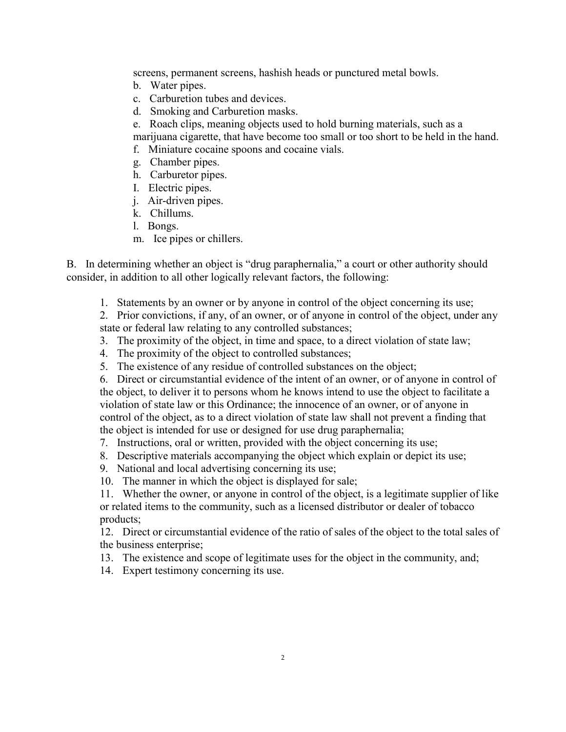screens, permanent screens, hashish heads or punctured metal bowls.

- b. Water pipes.
- c. Carburetion tubes and devices.
- d. Smoking and Carburetion masks.
- e. Roach clips, meaning objects used to hold burning materials, such as a

marijuana cigarette, that have become too small or too short to be held in the hand.

- f. Miniature cocaine spoons and cocaine vials.
- g. Chamber pipes.
- h. Carburetor pipes.
- I. Electric pipes.
- j. Air-driven pipes.
- k. Chillums.
- l. Bongs.
- m. Ice pipes or chillers.

B. In determining whether an object is "drug paraphernalia," a court or other authority should consider, in addition to all other logically relevant factors, the following:

1. Statements by an owner or by anyone in control of the object concerning its use;

2. Prior convictions, if any, of an owner, or of anyone in control of the object, under any state or federal law relating to any controlled substances;

- 3. The proximity of the object, in time and space, to a direct violation of state law;
- 4. The proximity of the object to controlled substances;
- 5. The existence of any residue of controlled substances on the object;

6. Direct or circumstantial evidence of the intent of an owner, or of anyone in control of the object, to deliver it to persons whom he knows intend to use the object to facilitate a violation of state law or this Ordinance; the innocence of an owner, or of anyone in control of the object, as to a direct violation of state law shall not prevent a finding that the object is intended for use or designed for use drug paraphernalia;

- 7. Instructions, oral or written, provided with the object concerning its use;
- 8. Descriptive materials accompanying the object which explain or depict its use;
- 9. National and local advertising concerning its use;
- 10. The manner in which the object is displayed for sale;

11. Whether the owner, or anyone in control of the object, is a legitimate supplier of like or related items to the community, such as a licensed distributor or dealer of tobacco products;

12. Direct or circumstantial evidence of the ratio of sales of the object to the total sales of the business enterprise;

- 13. The existence and scope of legitimate uses for the object in the community, and;
- 14. Expert testimony concerning its use.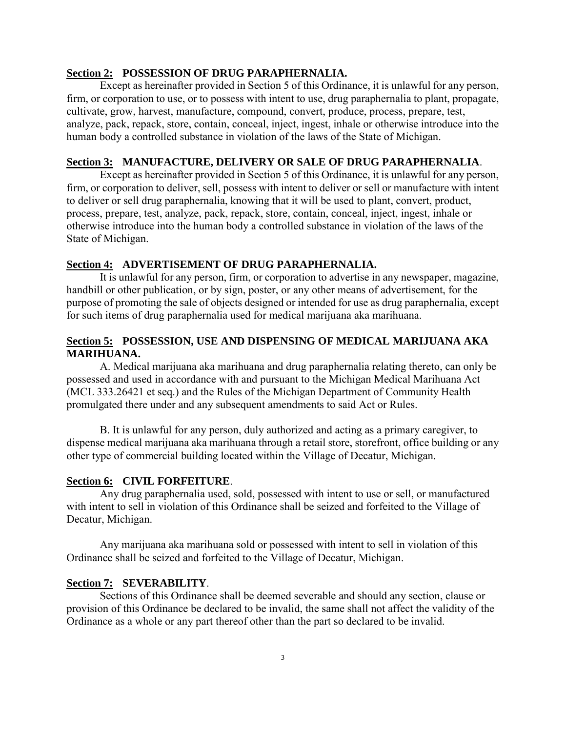#### **Section 2: POSSESSION OF DRUG PARAPHERNALIA.**

Except as hereinafter provided in Section 5 of this Ordinance, it is unlawful for any person, firm, or corporation to use, or to possess with intent to use, drug paraphernalia to plant, propagate, cultivate, grow, harvest, manufacture, compound, convert, produce, process, prepare, test, analyze, pack, repack, store, contain, conceal, inject, ingest, inhale or otherwise introduce into the human body a controlled substance in violation of the laws of the State of Michigan.

### **Section 3: MANUFACTURE, DELIVERY OR SALE OF DRUG PARAPHERNALIA**.

Except as hereinafter provided in Section 5 of this Ordinance, it is unlawful for any person, firm, or corporation to deliver, sell, possess with intent to deliver or sell or manufacture with intent to deliver or sell drug paraphernalia, knowing that it will be used to plant, convert, product, process, prepare, test, analyze, pack, repack, store, contain, conceal, inject, ingest, inhale or otherwise introduce into the human body a controlled substance in violation of the laws of the State of Michigan.

## **Section 4: ADVERTISEMENT OF DRUG PARAPHERNALIA.**

It is unlawful for any person, firm, or corporation to advertise in any newspaper, magazine, handbill or other publication, or by sign, poster, or any other means of advertisement, for the purpose of promoting the sale of objects designed or intended for use as drug paraphernalia, except for such items of drug paraphernalia used for medical marijuana aka marihuana.

# **Section 5: POSSESSION, USE AND DISPENSING OF MEDICAL MARIJUANA AKA MARIHUANA.**

A. Medical marijuana aka marihuana and drug paraphernalia relating thereto, can only be possessed and used in accordance with and pursuant to the Michigan Medical Marihuana Act (MCL 333.26421 et seq.) and the Rules of the Michigan Department of Community Health promulgated there under and any subsequent amendments to said Act or Rules.

B. It is unlawful for any person, duly authorized and acting as a primary caregiver, to dispense medical marijuana aka marihuana through a retail store, storefront, office building or any other type of commercial building located within the Village of Decatur, Michigan.

#### **Section 6: CIVIL FORFEITURE**.

Any drug paraphernalia used, sold, possessed with intent to use or sell, or manufactured with intent to sell in violation of this Ordinance shall be seized and forfeited to the Village of Decatur, Michigan.

Any marijuana aka marihuana sold or possessed with intent to sell in violation of this Ordinance shall be seized and forfeited to the Village of Decatur, Michigan.

#### **Section 7: SEVERABILITY**.

Sections of this Ordinance shall be deemed severable and should any section, clause or provision of this Ordinance be declared to be invalid, the same shall not affect the validity of the Ordinance as a whole or any part thereof other than the part so declared to be invalid.